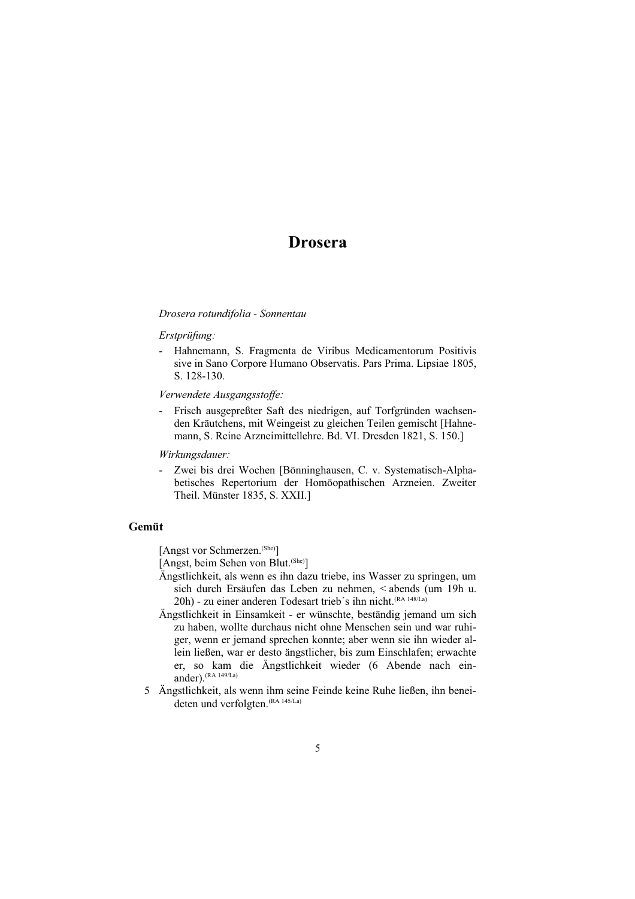# **Drosera**

#### Drosera rotundifolia - Sonnentau

#### Erstprüfung:

- Hahnemann, S. Fragmenta de Viribus Medicamentorum Positivis sive in Sano Corpore Humano Observatis. Pars Prima. Lipsiae 1805, S. 128-130.

### Verwendete Ausgangsstoffe:

- Frisch ausgepreßter Saft des niedrigen, auf Torfgründen wachsenden Kräutchens, mit Weingeist zu gleichen Teilen gemischt [Hahnemann, S. Reine Arzneimittellehre. Bd. VI. Dresden 1821, S. 150.]

# Wirkungsdauer:

- Zwei bis drei Wochen [Bönninghausen, C. v. Systematisch-Alphabetisches Repertorium der Homöopathischen Arzneien. Zweiter Theil. Münster 1835, S. XXII.]

# Gemüt

[Angst vor Schmerzen.<sup>(She)</sup>]

[Angst, beim Sehen von Blut. (She)]

- Ängstlichkeit, als wenn es ihn dazu triebe, ins Wasser zu springen, um sich durch Ersäufen das Leben zu nehmen, < abends (um 19h u. 20h) - zu einer anderen Todesart trieb's ihn nicht. (RA 148/La)
- Ängstlichkeit in Einsamkeit er wünschte, beständig jemand um sich zu haben, wollte durchaus nicht ohne Menschen sein und war ruhiger, wenn er jemand sprechen konnte; aber wenn sie ihn wieder allein ließen, war er desto ängstlicher, bis zum Einschlafen; erwachte er, so kam die Ängstlichkeit wieder (6 Abende nach einander). (RA 149/La)
- 5 Ängstlichkeit, als wenn ihm seine Feinde keine Ruhe ließen, ihn beneideten und verfolgten. (RA 145/La)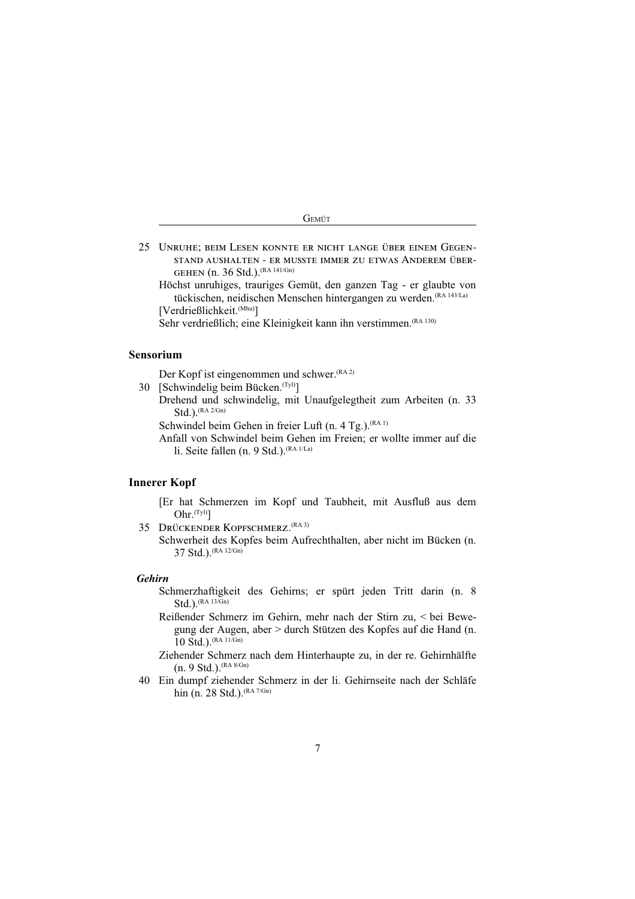| w |
|---|

- 25 UNRUHE; BEIM LESEN KONNTE ER NICHT LANGE ÜBER EINEM GEGEN-STAND AUSHALTEN - ER MUSSTE IMMER ZU ETWAS ANDEREM ÜBER-GEHEN (n. 36 Std.). <sup>(RA 141/Gn)</sup>
	- Höchst unruhiges, trauriges Gemüt, den ganzen Tag er glaubte von tückischen, neidischen Menschen hintergangen zu werden. (RA 143/La) [Verdrießlichkeit.<sup>(Mhu)</sup>]
	- Sehr verdrießlich; eine Kleinigkeit kann ihn verstimmen. (RA 130)

## Sensorium

Der Kopf ist eingenommen und schwer. (RA 2)

30 [Schwindelig beim Bücken. <sup>(Tyl)</sup>]

Drehend und schwindelig, mit Unaufgelegtheit zum Arbeiten (n. 33 Std.).  $(RA 2/Gn)$ 

Schwindel beim Gehen in freier Luft (n. 4 Tg.). (RA 1)

Anfall von Schwindel beim Gehen im Freien; er wollte immer auf die li. Seite fallen (n. 9 Std.). <sup>(RA 1/La)</sup>

#### **Innerer Kopf**

- [Er hat Schmerzen im Kopf und Taubheit, mit Ausfluß aus dem Ohr. $(Tyl)$ ]
- 35 DRÜCKENDER KOPFSCHMERZ. (RA 3)

Schwerheit des Kopfes beim Aufrechthalten, aber nicht im Bücken (n. 37 Std.). (RA 12/Gn)

#### **Gehirn**

- Schmerzhaftigkeit des Gehirns; er spürt jeden Tritt darin (n. 8  $Std.$ ).  $(RA 13/Gn)$
- Reißender Schmerz im Gehirn, mehr nach der Stirn zu, < bei Bewegung der Augen, aber > durch Stützen des Kopfes auf die Hand (n. 10 Std.). (RA 11/Gn)

Ziehender Schmerz nach dem Hinterhaupte zu, in der re. Gehirnhälfte  $(n. 9 Std.).$  (RA 8/Gn)

40 Ein dumpf ziehender Schmerz in der li. Gehirnseite nach der Schläfe hin (n. 28 Std.). (RA 7/Gn)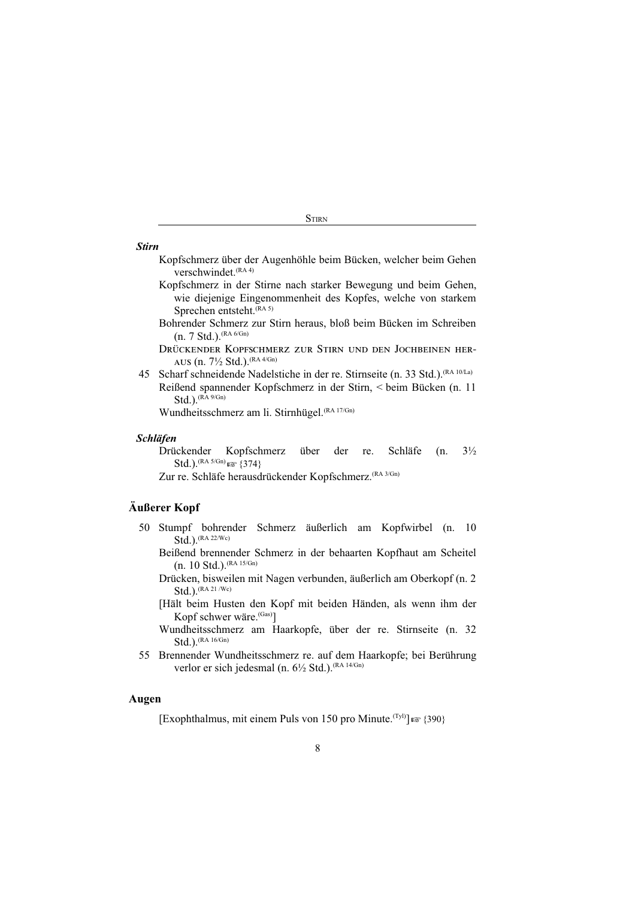**STIRN** 

#### **Stirn**

- Kopfschmerz über der Augenhöhle beim Bücken, welcher beim Gehen verschwindet. (RA 4)
- Kopfschmerz in der Stirne nach starker Bewegung und beim Gehen, wie diejenige Eingenommenheit des Kopfes, welche von starkem Sprechen entsteht. (RA 5)
- Bohrender Schmerz zur Stirn heraus, bloß beim Bücken im Schreiben  $(n. 7 Std.).$ <sup> $(RA 6/Gn)$ </sup>
- DRÜCKENDER KOPFSCHMERZ ZUR STIRN UND DEN JOCHBEINEN HER-AUS (n. 7½ Std.). (RA 4/Gn)
- 45 Scharf schneidende Nadelstiche in der re. Stirnseite (n. 33 Std.). <sup>(RA 10/La)</sup> Reißend spannender Kopfschmerz in der Stirn, < beim Bücken (n. 11  $Std.$ ).  $(RA 9/Gn)$

Wundheitsschmerz am li. Stirnhügel. (RA 17/Gn)

# **Schläfen**

Schläfe  $3\frac{1}{2}$ Drückender Kopfschmerz über der re.  $(n.$ Std.).  $^{(RA 5/Gn)}$  as  $\{374\}$ 

Zur re. Schläfe herausdrückender Kopfschmerz. (RA 3/Gn)

# Äußerer Kopf

- 50 Stumpf bohrender Schmerz äußerlich am Kopfwirbel (n. 10 Std.). (RA 22/Wc)
	- Beißend brennender Schmerz in der behaarten Kopfhaut am Scheitel (n. 10 Std.).  $^{(RA 15/Gn)}$
	- Drücken, bisweilen mit Nagen verbunden, äußerlich am Oberkopf (n. 2  $Std.$ ).  $(RA 21/Wc)$
	- [Hält beim Husten den Kopf mit beiden Händen, als wenn ihm der Kopf schwer wäre.<sup>(Gas)</sup>]
	- Wundheitsschmerz am Haarkopfe, über der re. Stirnseite (n. 32  $Std.$ ).  $(RA 16/Gn)$
- 55 Brennender Wundheitsschmerz re. auf dem Haarkopfe; bei Berührung verlor er sich jedesmal (n. 6½ Std.).<sup>(RA 14/Gn)</sup>

# Augen

[Exophthalmus, mit einem Puls von 150 pro Minute.<sup>(Tyl)</sup>]  $\mathbb{R}$  {390}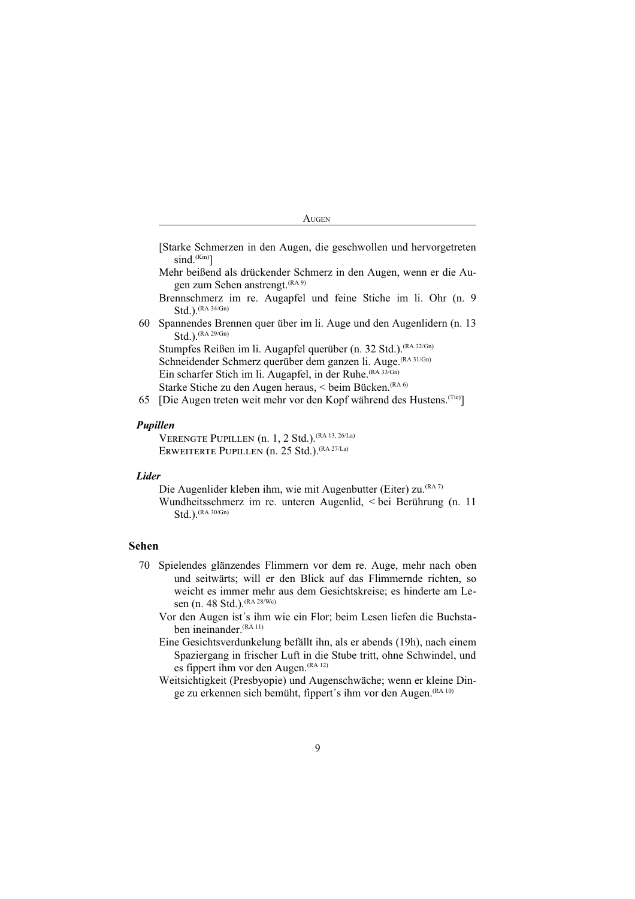- [Starke Schmerzen in den Augen, die geschwollen und hervorgetreten  $sind.$ <sup> $(Kin)$ </sup>]
- Mehr beißend als drückender Schmerz in den Augen, wenn er die Augen zum Sehen anstrengt. (RA 9)

Brennschmerz im re. Augapfel und feine Stiche im li. Ohr (n. 9  $Std.$ ).  $(RA 34/Gn)$ 

60 Spannendes Brennen quer über im li. Auge und den Augenlidern (n. 13  $Std.$ ).  $(RA 29/Gn)$ 

Stumpfes Reißen im li. Augapfel querüber (n. 32 Std.). (RA 32/Gn) Schneidender Schmerz querüber dem ganzen li. Auge. (RA 31/Gn) Ein scharfer Stich im li. Augapfel, in der Ruhe. (RA 33/Gn) Starke Stiche zu den Augen heraus, < beim Bücken. (RA 6)

65 [Die Augen treten weit mehr vor den Kopf während des Hustens.<sup>(Tie)</sup>]

#### Pupillen

VERENGTE PUPILLEN (n. 1, 2 Std.). <sup>(RA 13, 26/La)</sup> ERWEITERTE PUPILLEN (n. 25 Std.). <sup>(RA 27/La)</sup>

#### **Lider**

Die Augenlider kleben ihm, wie mit Augenbutter (Eiter) zu. (RA 7) Wundheitsschmerz im re. unteren Augenlid, < bei Berührung (n. 11  $Std.$ ).  $(RA 30/Gn)$ 

#### **Sehen**

- 70 Spielendes glänzendes Flimmern vor dem re. Auge, mehr nach oben und seitwärts; will er den Blick auf das Flimmernde richten, so weicht es immer mehr aus dem Gesichtskreise; es hinderte am Lesen (n. 48 Std.). <sup>(RA 28/Wc)</sup>
	- Vor den Augen ist's ihm wie ein Flor; beim Lesen liefen die Buchstaben ineinander. (RA 11)
	- Eine Gesichtsverdunkelung befällt ihn, als er abends (19h), nach einem Spaziergang in frischer Luft in die Stube tritt, ohne Schwindel, und es fippert ihm vor den Augen. (RA 12)
	- Weitsichtigkeit (Presbyopie) und Augenschwäche; wenn er kleine Dinge zu erkennen sich bemüht, fippert's ihm vor den Augen. (RA 10)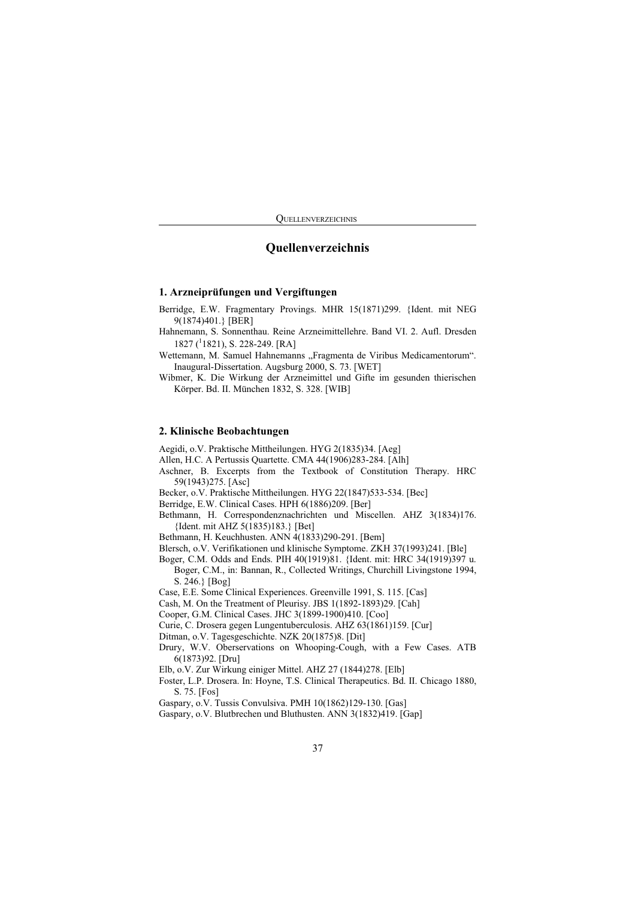**OUELLENVERZEICHNIS** 

# Quellenverzeichnis

# 1. Arzneiprüfungen und Vergiftungen

Berridge, E.W. Fragmentary Provings. MHR 15(1871)299. {Ident. mit NEG 9(1874)401.} [BER]

- Hahnemann, S. Sonnenthau. Reine Arzneimittellehre. Band VI. 2. Aufl. Dresden 1827 ( $1821$ ), S. 228-249. [RA]
- Wettemann, M. Samuel Hahnemanns "Fragmenta de Viribus Medicamentorum". Inaugural-Dissertation. Augsburg 2000, S. 73. [WET]

Wibmer, K. Die Wirkung der Arzneimittel und Gifte im gesunden thierischen Körper. Bd. II. München 1832, S. 328. [WIB]

#### 2. Klinische Beobachtungen

Aegidi, o.V. Praktische Mittheilungen. HYG 2(1835)34. [Aeg]

Allen, H.C. A Pertussis Quartette. CMA 44(1906)283-284. [Alh]

Aschner, B. Excerpts from the Textbook of Constitution Therapy. HRC 59(1943)275. [Asc]

Becker, o.V. Praktische Mittheilungen. HYG 22(1847)533-534. [Bec]

Berridge, E.W. Clinical Cases. HPH 6(1886)209. [Ber]

Bethmann, H. Correspondenznachrichten und Miscellen. AHZ 3(1834)176. {Ident. mit AHZ 5(1835)183.} [Bet]

Bethmann, H. Keuchhusten. ANN 4(1833)290-291. [Bem]

Blersch, o.V. Verifikationen und klinische Symptome. ZKH 37(1993)241. [Ble]

Boger, C.M. Odds and Ends. PIH 40(1919)81. {Ident. mit: HRC 34(1919)397 u. Boger, C.M., in: Bannan, R., Collected Writings, Churchill Livingstone 1994, S. 246.} [Bog]

Case, E.E. Some Clinical Experiences. Greenville 1991, S. 115. [Cas]

Cash, M. On the Treatment of Pleurisy. JBS 1(1892-1893)29. [Cah]

Cooper, G.M. Clinical Cases. JHC 3(1899-1900)410. [Coo]

Curie, C. Drosera gegen Lungentuberculosis. AHZ 63(1861)159. [Cur]

Ditman, o.V. Tagesgeschichte. NZK 20(1875)8. [Dit]

- Drury, W.V. Oberservations on Whooping-Cough, with a Few Cases. ATB 6(1873)92. [Dru]
- Elb, o.V. Zur Wirkung einiger Mittel. AHZ 27 (1844)278. [Elb]
- Foster, L.P. Drosera. In: Hoyne, T.S. Clinical Therapeutics. Bd. II. Chicago 1880, S. 75. [Fos]

Gaspary, o.V. Tussis Convulsiva. PMH 10(1862)129-130. [Gas]

Gaspary, o.V. Blutbrechen und Bluthusten. ANN 3(1832)419. [Gap]